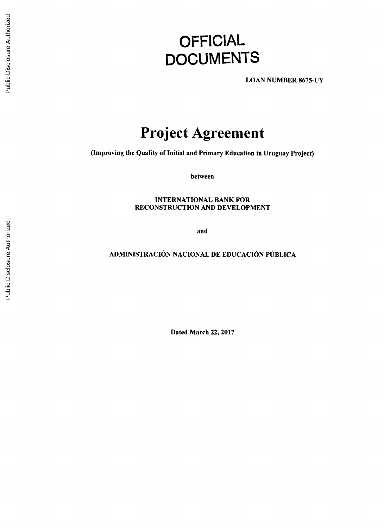# **OFFICIAL DOCUMENTS**

**LOAN NUMBER 8675-UY**

# **Project Agreement**

(Improving the Quality of Initial and Primary Education in Uruguay Project)

between

**INTERNATIONAL** BANK FOR **RECONSTRUCTION AND DEVELOPMENT**

and

## **ADMINISTRACI6N NACIONAL DE EDUCACION PUBLICA**

Dated March 22, **2017**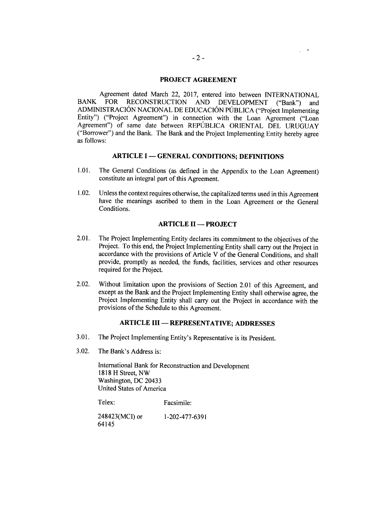#### **PROJECT AGREEMENT**

Agreement dated March 22, 2017, entered into between INTERNATIONAL<br>BANK FOR RECONSTRUCTION AND DEVELOPMENT ("Bank") and BANK FOR RECONSTRUCTION AND DEVELOPMENT ("Bank") and ADMINISTRACIÓN NACIONAL DE EDUCACIÓN PÚBLICA ("Project Implementing Entity") ("Project Agreement") in connection with the Loan Agreement ("Loan Agreement") of same date between REPUBLICA **ORIENTAL DEL URUGUAY** ("Borrower") and the Bank. The Bank and the Project Implementing Entity hereby agree as follows:

#### **ARTICLE I - GENERAL CONDITIONS; DEFINITIONS**

- **1.01.** The General Conditions (as defined in the Appendix to the Loan Agreement) constitute an integral part of this Agreement.
- 1.02. Unless the context requires otherwise, the capitalized terms used in this Agreement have the meanings ascribed to them in the Loan Agreement or the General Conditions.

#### **ARTICLE II - PROJECT**

- 2.01. The Project Implementing Entity declares its commitment to the objectives of the Project. To this end, the Project Implementing Entity shall carry out the Project in accordance with the provisions of Article V of the General Conditions, and shall provide, promptly as needed, the funds, facilities, services and other resources required for the Project.
- 2.02. Without limitation upon the provisions of Section 2.01 of this Agreement, and except as the Bank and the Project Implementing Entity shall otherwise agree, the Project Implementing Entity shall carry out the Project in accordance with the provisions of the Schedule to this Agreement.

#### **ARTICLE III - REPRESENTATIVE; ADDRESSES**

- **3.01.** The Project Implementing Entity's Representative is its President.
- **3.02.** The Bank's Address is:

International Bank for Reconstruction and Development **1818** H Street, NW Washington, **DC** 20433 United States of America

Telex: Facsimile:

248423(MCI) or **1-202-477-6391** *64145*

 $\sim$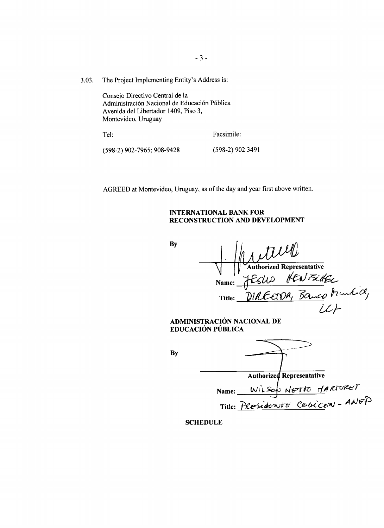**3.03.** The Project Implementing Entity's Address is:

Consejo Directivo Central de la Administración Nacional de Educación Pública Avenida del Libertador 1409, Piso **3,** Montevideo, Uruguay

Tel: Facsimile:

**(598-2) 902-7965; 908-9428 (598-2) 902** 3491

AGREED at Montevideo, Uruguay, as of the day and year first above written.

#### **INTERNATIONAL BANK FOR RECONSTRUCTION AND DEVELOPMENT**

| By | 1 turil                                                         |
|----|-----------------------------------------------------------------|
|    | <b>Authorized Representative</b>                                |
|    |                                                                 |
|    | Name: JESUS HENFLAEL<br>Title: DIRECTOR, Banco Munkicl,         |
|    |                                                                 |
|    | ADMINISTRACIÓN NACIONAL DE<br>EDUCACIÓN PÚBLICA                 |
|    |                                                                 |
| By |                                                                 |
|    | <b>Authorized Representative</b>                                |
|    |                                                                 |
|    | Name: WILSON NETTO MARTURET<br>Title: PRESIGONTE CODICEN - ANEP |

**SCHEDULE**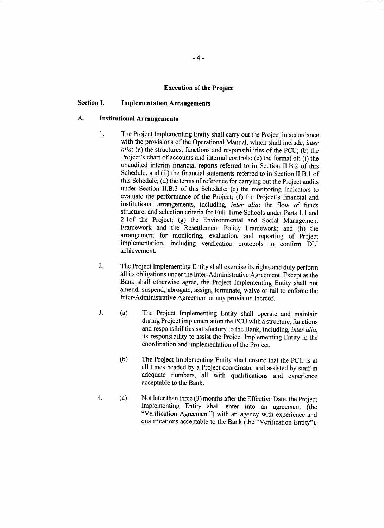#### **Execution of the Project**

#### **Section I. Implementation Arrangements**

#### **A. Institutional Arrangements**

- 1. The Project Implementing Entity shall carry out the Project in accordance with the provisions of the Operational Manual, which shall include, *inter alia:* (a) the structures, functions and responsibilities of the **PCU; (b)** the Project's chart of accounts and internal controls; (c) the format of: (i) the unaudited interim financial reports referred to in Section II.B.2 of this Schedule; and (ii) the financial statements referred to in Section II.B.1 of this Schedule; **(d)** the terms of reference for carrying out the Project audits under Section II.B.3 of this Schedule; (e) the monitoring indicators to evaluate the performance of the Project; **(f)** the Project's financial and institutional arrangements, including, *inter alia:* the flow of funds structure, and selection criteria for Full-Time Schools under Parts **1.1** and 2.1of the Project; **(g)** the Environmental and Social Management Framework and the Resettlement Policy Framework; and (h) the arrangement for monitoring, evaluation, and reporting of Project implementation, including verification protocols to confirm DLI achievement.
- 2. The Project Implementing Entity shall exercise its rights and duly perform all its obligations under the Inter-Administrative Agreement. Except as the Bank shall otherwise agree, the Project Implementing Entity shall not amend, suspend, abrogate, assign, terminate, waive or fail to enforce the Inter-Administrative Agreement or any provision thereof.
- **3.** (a) The Project Implementing Entity shall operate and maintain during Project implementation the PCU with a structure, functions and responsibilities satisfactory to the Bank, including, *inter alia*, its responsibility to assist the Project Implementing Entity in the coordination and implementation of the Project.
	- **(b)** The Project Implementing Entity shall ensure that the **PCU** is at all times headed **by** a Project coordinator and assisted **by** staff in adequate numbers, all with qualifications and experience acceptable to the Bank.
- 4. (a) Not later than three **(3)** months after the Effective Date, the Project Implementing Entity shall enter into an agreement (the "Verification Agreement") with an agency with experience and qualifications acceptable to the Bank (the "Verification Entity"),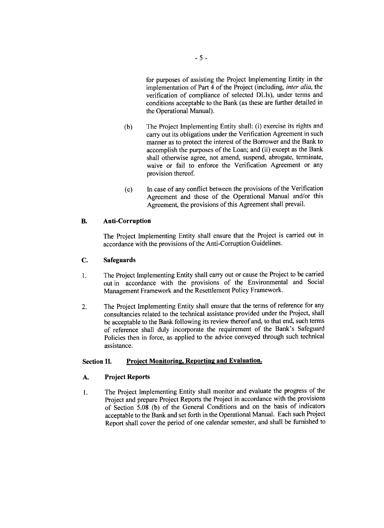for purposes of assisting the Project Implementing Entity in the implementation of Part 4 of the Project (including, *inter alia,* the verification of compliance of selected DLIs), under terms and conditions acceptable to the Bank (as these are further detailed in the Operational Manual).

- **(b)** The Project Implementing Entity shall: (i) exercise its rights and carry out its obligations under the Verification Agreement in such manner as to protect the interest of the Borrower and the Bank to accomplish the purposes of the Loan; and (ii) except as the Bank shall otherwise agree, not amend, suspend, abrogate, terminate, waive or fail to enforce the Verification Agreement or any provision thereof.
- (c) In case of any conflict between the provisions of the Verification Agreement and those of the Operational Manual and/or this Agreement, the provisions of this Agreement shall prevail.

#### B. **Anti-Corruption**

The Project Implementing Entity shall ensure that the Project is carried out in accordance with the provisions of the Anti-Corruption Guidelines.

#### **C. Safeguards**

- <sup>1</sup>**.** The Project Implementing Entity shall carry out or cause the Project to be carried out in accordance with the provisions of the Environmental and Social Management Framework and the Resettlement Policy Framework.
- 2. The Project Implementing Entity shall ensure that the terms of reference for any consultancies related to the technical assistance provided under the Project, shall be acceptable to the Bank following its review thereof and, to that end, such terms of reference shall duly incorporate the requirement of the Bank's Safeguard Policies then in force, as applied to the advice conveyed through such technical assistance.

### **Section II. Project Monitoring, Reporting and Evaluation.**

#### **A. Project Reports**

**1. The Project Implementing** Entity shall monitor and evaluate the progress of the Project and prepare Project Reports the Project in accordance with the provisions of Section **5.08 (b)** of the General Conditions and on the basis of indicators acceptable to the Bank and set forth in the Operational Manual. Each such Project Report shall cover the period of one calendar semester, and shall be furnished to